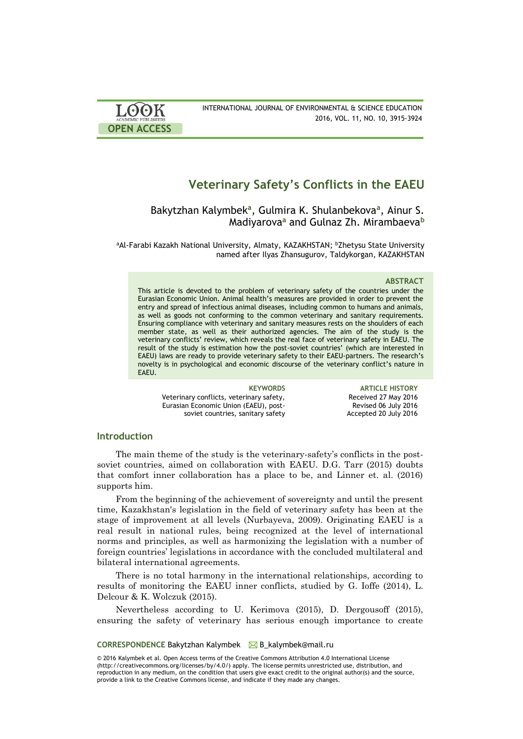

# **Veterinary Safety's Conflicts in the EAEU**

Bakytzhan Kalymbek**<sup>a</sup>** , Gulmira K. Shulanbekova**<sup>a</sup>** , Ainur S. Madiyarova**<sup>a</sup>** and Gulnaz Zh. Mirambaeva**<sup>b</sup>**

aAl-Farabi Kazakh National University, Almaty, KAZAKHSTAN; bZhetysu State University named after Ilyas Zhansugurov, Taldykorgan, KAZAKHSTAN

## **ABSTRACT**

This article is devoted to the problem of veterinary safety of the countries under the Eurasian Economic Union. Animal health's measures are provided in order to prevent the entry and spread of infectious animal diseases, including common to humans and animals, as well as goods not conforming to the common veterinary and sanitary requirements. Ensuring compliance with veterinary and sanitary measures rests on the shoulders of each member state, as well as their authorized agencies. The aim of the study is the veterinary conflicts' review, which reveals the real face of veterinary safety in EAEU. The result of the study is estimation how the post-soviet countries' (which are interested in EAEU) laws are ready to provide veterinary safety to their EAEU-partners. The research's novelty is in psychological and economic discourse of the veterinary conflict's nature in **FAFU.** 

Veterinary conflicts, veterinary safety, Eurasian Economic Union (EAEU), postsoviet countries, sanitary safety

**KEYWORDS ARTICLE HISTORY** Received 27 May 2016 Revised 06 July 2016 Accepted 20 July 2016

# **Introduction**

The main theme of the study is the veterinary-safety's conflicts in the postsoviet countries, aimed on collaboration with EAEU. D.G. Tarr (2015) doubts that comfort inner collaboration has a place to be, and Linner et. al. (2016) supports him.

From the beginning of the achievement of sovereignty and until the present time, Kazakhstan's legislation in the field of veterinary safety has been at the stage of improvement at all levels (Nurbayeva, 2009). Originating EAEU is a real result in national rules, being recognized at the level of international norms and principles, as well as harmonizing the legislation with a number of foreign countries' legislations in accordance with the concluded multilateral and bilateral international agreements.

There is no total harmony in the international relationships, according to results of monitoring the EAEU inner conflicts, studied by G. Ioffe (2014), L. Delcour & K. Wolczuk (2015).

Nevertheless according to U. Kerimova (2015), D. Dergousoff (2015), ensuring the safety of veterinary has serious enough importance to create

**CORRESPONDENCE** Bakytzhan Kalymbek B\_kalymbek@mail.ru

© 2016 Kalymbek et al. Open Access terms of the Creative Commons Attribution 4.0 International License (http://creativecommons.org/licenses/by/4.0/) apply. The license permits unrestricted use, distribution, and reproduction in any medium, on the condition that users give exact credit to the original author(s) and the source, provide a link to the Creative Commons license, and indicate if they made any changes.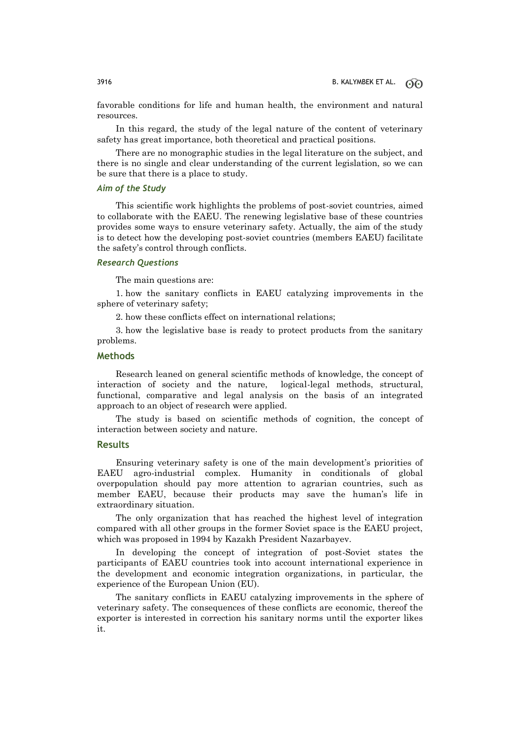favorable conditions for life and human health, the environment and natural resources.

In this regard, the study of the legal nature of the content of veterinary safety has great importance, both theoretical and practical positions.

There are no monographic studies in the legal literature on the subject, and there is no single and clear understanding of the current legislation, so we can be sure that there is a place to study.

# *Aim of the Study*

This scientific work highlights the problems of post-soviet countries, aimed to collaborate with the EAEU. The renewing legislative base of these countries provides some ways to ensure veterinary safety. Actually, the aim of the study is to detect how the developing post-soviet countries (members EAEU) facilitate the safety's control through conflicts.

# *Research Questions*

The main questions are:

1. how the sanitary conflicts in EAEU catalyzing improvements in the sphere of veterinary safety;

2. how these conflicts effect on international relations;

3. how the legislative base is ready to protect products from the sanitary problems.

# **Methods**

Research leaned on general scientific methods of knowledge, the concept of interaction of society and the nature, logical-legal methods, structural, functional, comparative and legal analysis on the basis of an integrated approach to an object of research were applied.

The study is based on scientific methods of cognition, the concept of interaction between society and nature.

#### **Results**

Ensuring veterinary safety is one of the main development's priorities of EAEU agro-industrial complex. Humanity in conditionals of global overpopulation should pay more attention to agrarian countries, such as member EAEU, because their products may save the human's life in extraordinary situation.

The only organization that has reached the highest level of integration compared with all other groups in the former Soviet space is the EAEU project, which was proposed in 1994 by Kazakh President Nazarbayev.

In developing the concept of integration of post-Soviet states the participants of EAEU countries took into account international experience in the development and economic integration organizations, in particular, the experience of the European Union (EU).

The sanitary conflicts in EAEU catalyzing improvements in the sphere of veterinary safety. The consequences of these conflicts are economic, thereof the exporter is interested in correction his sanitary norms until the exporter likes it.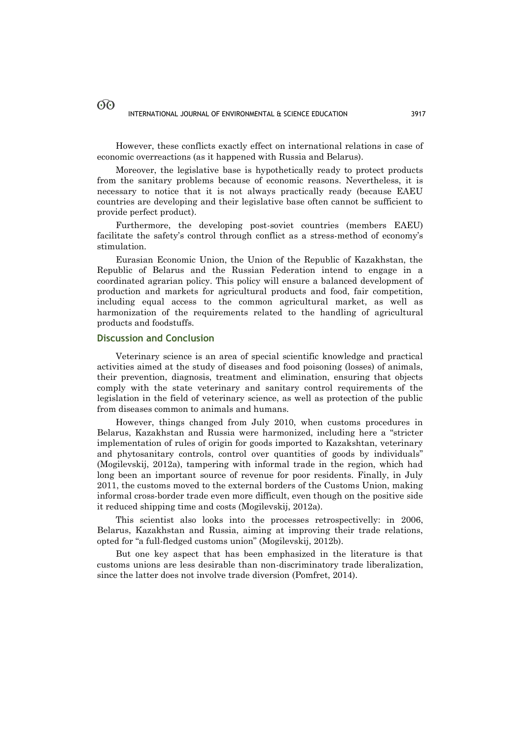However, these conflicts exactly effect on international relations in case of economic overreactions (as it happened with Russia and Belarus).

Moreover, the legislative base is hypothetically ready to protect products from the sanitary problems because of economic reasons. Nevertheless, it is necessary to notice that it is not always practically ready (because EAEU countries are developing and their legislative base often cannot be sufficient to provide perfect product).

Furthermore, the developing post-soviet countries (members EAEU) facilitate the safety's control through conflict as a stress-method of economy's stimulation.

Eurasian Economic Union, the Union of the Republic of Kazakhstan, the Republic of Belarus and the Russian Federation intend to engage in a coordinated agrarian policy. This policy will ensure a balanced development of production and markets for agricultural products and food, fair competition, including equal access to the common agricultural market, as well as harmonization of the requirements related to the handling of agricultural products and foodstuffs.

## **Discussion and Conclusion**

Veterinary science is an area of special scientific knowledge and practical activities aimed at the study of diseases and food poisoning (losses) of animals, their prevention, diagnosis, treatment and elimination, ensuring that objects comply with the state veterinary and sanitary control requirements of the legislation in the field of veterinary science, as well as protection of the public from diseases common to animals and humans.

However, things changed from July 2010, when customs procedures in Belarus, Kazakhstan and Russia were harmonized, including here a "stricter implementation of rules of origin for goods imported to Kazakshtan, veterinary and phytosanitary controls, control over quantities of goods by individuals" (Mogilevskij, 2012a), tampering with informal trade in the region, which had long been an important source of revenue for poor residents. Finally, in July 2011, the customs moved to the external borders of the Customs Union, making informal cross-border trade even more difficult, even though on the positive side it reduced shipping time and costs (Mogilevskij, 2012a).

This scientist also looks into the processes retrospectivelly: in 2006, Belarus, Kazakhstan and Russia, aiming at improving their trade relations, opted for "a full-fledged customs union" (Mogilevskij, 2012b).

But one key aspect that has been emphasized in the literature is that customs unions are less desirable than non-discriminatory trade liberalization, since the latter does not involve trade diversion (Pomfret, 2014).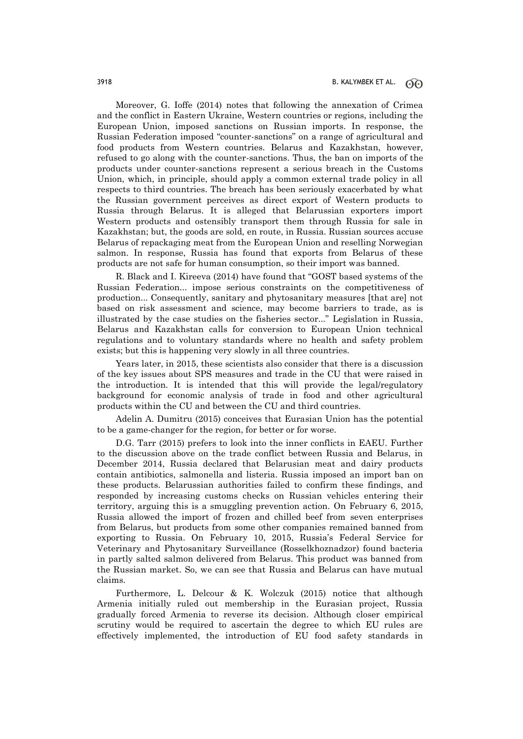Moreover, G. Ioffe (2014) notes that following the annexation of Crimea and the conflict in Eastern Ukraine, Western countries or regions, including the European Union, imposed sanctions on Russian imports. In response, the Russian Federation imposed "counter-sanctions" on a range of agricultural and food products from Western countries. Belarus and Kazakhstan, however, refused to go along with the counter-sanctions. Thus, the ban on imports of the products under counter-sanctions represent a serious breach in the Customs Union, which, in principle, should apply a common external trade policy in all respects to third countries. The breach has been seriously exacerbated by what the Russian government perceives as direct export of Western products to Russia through Belarus. It is alleged that Belarussian exporters import Western products and ostensibly transport them through Russia for sale in Kazakhstan; but, the goods are sold, en route, in Russia. Russian sources accuse Belarus of repackaging meat from the European Union and reselling Norwegian salmon. In response, Russia has found that exports from Belarus of these products are not safe for human consumption, so their import was banned.

R. Black and I. Kireeva (2014) have found that "GOST based systems of the Russian Federation... impose serious constraints on the competitiveness of production... Consequently, sanitary and phytosanitary measures [that are] not based on risk assessment and science, may become barriers to trade, as is illustrated by the case studies on the fisheries sector..." Legislation in Russia, Belarus and Kazakhstan calls for conversion to European Union technical regulations and to voluntary standards where no health and safety problem exists; but this is happening very slowly in all three countries.

Years later, in 2015, these scientists also consider that there is a discussion of the key issues about SPS measures and trade in the CU that were raised in the introduction. It is intended that this will provide the legal/regulatory background for economic analysis of trade in food and other agricultural products within the CU and between the CU and third countries.

Adelin A. Dumitru (2015) conceives that Eurasian Union has the potential to be a game-changer for the region, for better or for worse.

D.G. Tarr (2015) prefers to look into the inner conflicts in EAEU. Further to the discussion above on the trade conflict between Russia and Belarus, in December 2014, Russia declared that Belarusian meat and dairy products contain antibiotics, salmonella and listeria. Russia imposed an import ban on these products. Belarussian authorities failed to confirm these findings, and responded by increasing customs checks on Russian vehicles entering their territory, arguing this is a smuggling prevention action. On February 6, 2015, Russia allowed the import of frozen and chilled beef from seven enterprises from Belarus, but products from some other companies remained banned from exporting to Russia. On February 10, 2015, Russia's Federal Service for Veterinary and Phytosanitary Surveillance (Rosselkhoznadzor) found bacteria in partly salted salmon delivered from Belarus. This product was banned from the Russian market. So, we can see that Russia and Belarus can have mutual claims.

Furthermore, L. Delcour & K. Wolczuk (2015) notice that although Armenia initially ruled out membership in the Eurasian project, Russia gradually forced Armenia to reverse its decision. Although closer empirical scrutiny would be required to ascertain the degree to which EU rules are effectively implemented, the introduction of EU food safety standards in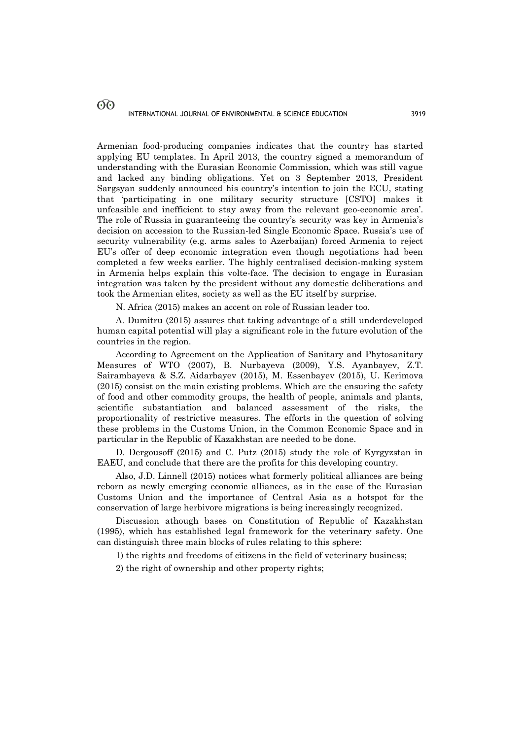Armenian food-producing companies indicates that the country has started applying EU templates. In April 2013, the country signed a memorandum of understanding with the Eurasian Economic Commission, which was still vague and lacked any binding obligations. Yet on 3 September 2013, President Sargsyan suddenly announced his country's intention to join the ECU, stating that 'participating in one military security structure [CSTO] makes it unfeasible and inefficient to stay away from the relevant geo-economic area'. The role of Russia in guaranteeing the country's security was key in Armenia's decision on accession to the Russian-led Single Economic Space. Russia's use of security vulnerability (e.g. arms sales to Azerbaijan) forced Armenia to reject EU's offer of deep economic integration even though negotiations had been completed a few weeks earlier. The highly centralised decision-making system in Armenia helps explain this volte-face. The decision to engage in Eurasian integration was taken by the president without any domestic deliberations and took the Armenian elites, society as well as the EU itself by surprise.

N. Africa (2015) makes an accent on role of Russian leader too.

A. Dumitru (2015) assures that taking advantage of a still underdeveloped human capital potential will play a significant role in the future evolution of the countries in the region.

According to Agreement on the Application of Sanitary and Phytosanitary Measures of WTO (2007), B. Nurbayeva (2009), Y.S. Ayanbayev, Z.T. Sairambayeva & S.Z. Aidarbayev (2015), M. Essenbayev (2015), U. Kerimova (2015) consist on the main existing problems. Which are the ensuring the safety of food and other commodity groups, the health of people, animals and plants, scientific substantiation and balanced assessment of the risks, the proportionality of restrictive measures. The efforts in the question of solving these problems in the Customs Union, in the Common Economic Space and in particular in the Republic of Kazakhstan are needed to be done.

D. Dergousoff (2015) and C. Putz (2015) study the role of Kyrgyzstan in EAEU, and conclude that there are the profits for this developing country.

Also, J.D. Linnell (2015) notices what formerly political alliances are being reborn as newly emerging economic alliances, as in the case of the Eurasian Customs Union and the importance of Central Asia as a hotspot for the conservation of large herbivore migrations is being increasingly recognized.

Discussion athough bases on Constitution of Republic of Kazakhstan (1995), which has established legal framework for the veterinary safety. One can distinguish three main blocks of rules relating to this sphere:

1) the rights and freedoms of citizens in the field of veterinary business;

2) the right of ownership and other property rights;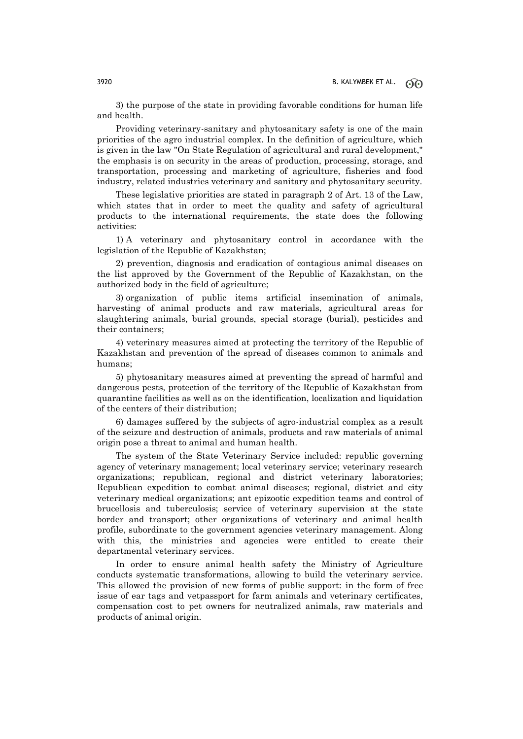3) the purpose of the state in providing favorable conditions for human life and health.

Providing veterinary-sanitary and phytosanitary safety is one of the main priorities of the agro industrial complex. In the definition of agriculture, which is given in the law "On State Regulation of agricultural and rural development," the emphasis is on security in the areas of production, processing, storage, and transportation, processing and marketing of agriculture, fisheries and food industry, related industries veterinary and sanitary and phytosanitary security.

These legislative priorities are stated in paragraph 2 of Art. 13 of the Law, which states that in order to meet the quality and safety of agricultural products to the international requirements, the state does the following activities:

1) A veterinary and phytosanitary control in accordance with the legislation of the Republic of Kazakhstan;

2) prevention, diagnosis and eradication of contagious animal diseases on the list approved by the Government of the Republic of Kazakhstan, on the authorized body in the field of agriculture;

3) organization of public items artificial insemination of animals, harvesting of animal products and raw materials, agricultural areas for slaughtering animals, burial grounds, special storage (burial), pesticides and their containers;

4) veterinary measures aimed at protecting the territory of the Republic of Kazakhstan and prevention of the spread of diseases common to animals and humans;

5) phytosanitary measures aimed at preventing the spread of harmful and dangerous pests, protection of the territory of the Republic of Kazakhstan from quarantine facilities as well as on the identification, localization and liquidation of the centers of their distribution;

6) damages suffered by the subjects of agro-industrial complex as a result of the seizure and destruction of animals, products and raw materials of animal origin pose a threat to animal and human health.

The system of the State Veterinary Service included: republic governing agency of veterinary management; local veterinary service; veterinary research organizations; republican, regional and district veterinary laboratories; Republican expedition to combat animal diseases; regional, district and city veterinary medical organizations; ant epizootic expedition teams and control of brucellosis and tuberculosis; service of veterinary supervision at the state border and transport; other organizations of veterinary and animal health profile, subordinate to the government agencies veterinary management. Along with this, the ministries and agencies were entitled to create their departmental veterinary services.

In order to ensure animal health safety the Ministry of Agriculture conducts systematic transformations, allowing to build the veterinary service. This allowed the provision of new forms of public support: in the form of free issue of ear tags and vetpassport for farm animals and veterinary certificates, compensation cost to pet owners for neutralized animals, raw materials and products of animal origin.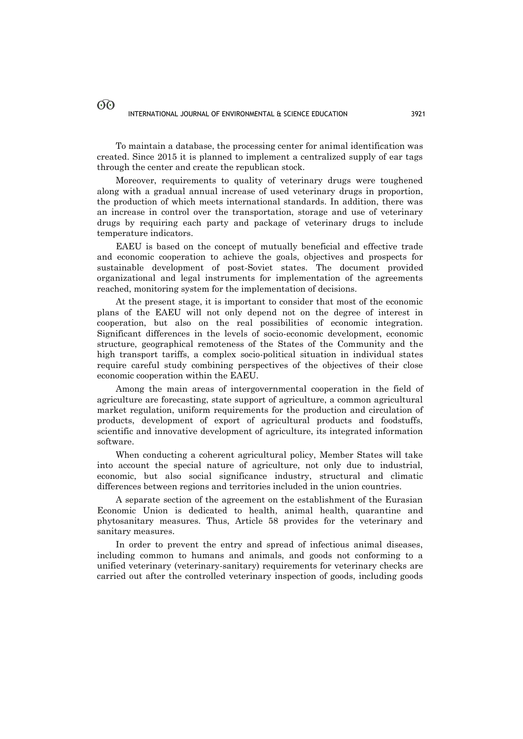To maintain a database, the processing center for animal identification was created. Since 2015 it is planned to implement a centralized supply of ear tags through the center and create the republican stock.

Moreover, requirements to quality of veterinary drugs were toughened along with a gradual annual increase of used veterinary drugs in proportion, the production of which meets international standards. In addition, there was an increase in control over the transportation, storage and use of veterinary drugs by requiring each party and package of veterinary drugs to include temperature indicators.

EAEU is based on the concept of mutually beneficial and effective trade and economic cooperation to achieve the goals, objectives and prospects for sustainable development of post-Soviet states. The document provided organizational and legal instruments for implementation of the agreements reached, monitoring system for the implementation of decisions.

At the present stage, it is important to consider that most of the economic plans of the EAEU will not only depend not on the degree of interest in cooperation, but also on the real possibilities of economic integration. Significant differences in the levels of socio-economic development, economic structure, geographical remoteness of the States of the Community and the high transport tariffs, a complex socio-political situation in individual states require careful study combining perspectives of the objectives of their close economic cooperation within the EAEU.

Among the main areas of intergovernmental cooperation in the field of agriculture are forecasting, state support of agriculture, a common agricultural market regulation, uniform requirements for the production and circulation of products, development of export of agricultural products and foodstuffs, scientific and innovative development of agriculture, its integrated information software.

When conducting a coherent agricultural policy, Member States will take into account the special nature of agriculture, not only due to industrial, economic, but also social significance industry, structural and climatic differences between regions and territories included in the union countries.

A separate section of the agreement on the establishment of the Eurasian Economic Union is dedicated to health, animal health, quarantine and phytosanitary measures. Thus, Article 58 provides for the veterinary and sanitary measures.

In order to prevent the entry and spread of infectious animal diseases, including common to humans and animals, and goods not conforming to a unified veterinary (veterinary-sanitary) requirements for veterinary checks are carried out after the controlled veterinary inspection of goods, including goods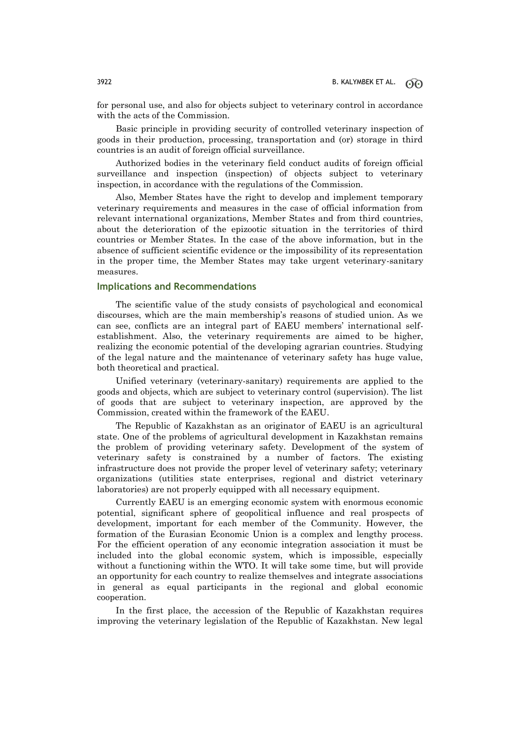for personal use, and also for objects subject to veterinary control in accordance with the acts of the Commission.

Basic principle in providing security of controlled veterinary inspection of goods in their production, processing, transportation and (or) storage in third countries is an audit of foreign official surveillance.

Authorized bodies in the veterinary field conduct audits of foreign official surveillance and inspection (inspection) of objects subject to veterinary inspection, in accordance with the regulations of the Commission.

Also, Member States have the right to develop and implement temporary veterinary requirements and measures in the case of official information from relevant international organizations, Member States and from third countries, about the deterioration of the epizootic situation in the territories of third countries or Member States. In the case of the above information, but in the absence of sufficient scientific evidence or the impossibility of its representation in the proper time, the Member States may take urgent veterinary-sanitary measures.

# **Implications and Recommendations**

The scientific value of the study consists of psychological and economical discourses, which are the main membership's reasons of studied union. As we can see, conflicts are an integral part of EAEU members' international selfestablishment. Also, the veterinary requirements are aimed to be higher, realizing the economic potential of the developing agrarian countries. Studying of the legal nature and the maintenance of veterinary safety has huge value, both theoretical and practical.

Unified veterinary (veterinary-sanitary) requirements are applied to the goods and objects, which are subject to veterinary control (supervision). The list of goods that are subject to veterinary inspection, are approved by the Commission, created within the framework of the EAEU.

The Republic of Kazakhstan as an originator of EAEU is an agricultural state. One of the problems of agricultural development in Kazakhstan remains the problem of providing veterinary safety. Development of the system of veterinary safety is constrained by a number of factors. The existing infrastructure does not provide the proper level of veterinary safety; veterinary organizations (utilities state enterprises, regional and district veterinary laboratories) are not properly equipped with all necessary equipment.

Currently EAEU is an emerging economic system with enormous economic potential, significant sphere of geopolitical influence and real prospects of development, important for each member of the Community. However, the formation of the Eurasian Economic Union is a complex and lengthy process. For the efficient operation of any economic integration association it must be included into the global economic system, which is impossible, especially without a functioning within the WTO. It will take some time, but will provide an opportunity for each country to realize themselves and integrate associations in general as equal participants in the regional and global economic cooperation.

In the first place, the accession of the Republic of Kazakhstan requires improving the veterinary legislation of the Republic of Kazakhstan. New legal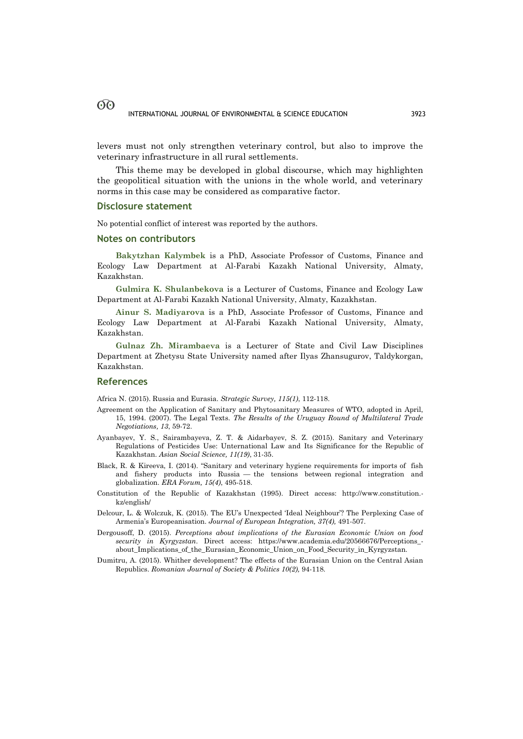levers must not only strengthen veterinary control, but also to improve the veterinary infrastructure in all rural settlements.

This theme may be developed in global discourse, which may highlighten the geopolitical situation with the unions in the whole world, and veterinary norms in this case may be considered as comparative factor.

## **Disclosure statement**

No potential conflict of interest was reported by the authors.

## **Notes on contributors**

**Bakytzhan Kalymbek** is a PhD, Associate Professor of Customs, Finance and Ecology Law Department at Al-Farabi Kazakh National University, Almaty, Kazakhstan.

**Gulmira K. Shulanbekova** is a Lecturer of Customs, Finance and Ecology Law Department at Al-Farabi Kazakh National University, Almaty, Kazakhstan.

**Ainur S. Madiyarova** is a PhD, Associate Professor of Customs, Finance and Ecology Law Department at Al-Farabi Kazakh National University, Almaty, Kazakhstan.

**Gulnaz Zh. Mirambaeva** is a Lecturer of State and Civil Law Disciplines Department at Zhetysu State University named after Ilyas Zhansugurov, Taldykorgan, Kazakhstan.

## **References**

Africa N. (2015). Russia and Eurasia. *Strategic Survey, 115(1)*, 112-118.

- Agreement on the Application of Sanitary and Phytosanitary Measures of WTO, adopted in April, 15, 1994. (2007). The Legal Texts. *The Results of the Uruguay Round of Multilateral Trade Negotiations, 13*, 59-72.
- Ayanbayev, Y. S., Sairambayeva, Z. T. & Aidarbayev, S. Z. (2015). Sanitary and Veterinary Regulations of Pesticides Use: Unternational Law and Its Significance for the Republic of Kazakhstan. *Asian Social Science, 11(19)*, 31-35.
- Black, R. & Kireeva, I. (2014). "Sanitary and veterinary hygiene requirements for imports of fish and fishery products into Russia — the tensions between regional integration and globalization. *ERA Forum, 15(4)*, 495-518.
- Constitution of the Republic of Kazakhstan (1995). Direct access: http://www.constitution. kz/english/
- Delcour, L. & Wolczuk, K. (2015). The EU's Unexpected 'Ideal Neighbour'? The Perplexing Case of Armenia's Europeanisation. *Journal of European Integration, 37(4),* 491-507.
- Dergousoff, D. (2015). *Perceptions about implications of the Eurasian Economic Union on food security in Kyrgyzstan*. Direct access: https://www.academia.edu/20566676/Perceptions\_ about\_Implications\_of\_the\_Eurasian\_Economic\_Union\_on\_Food\_Security\_in\_Kyrgyzstan.
- Dumitru, A. (2015). Whither development? The effects of the Eurasian Union on the Central Asian Republics. *Romanian Journal of Society & Politics 10(2),* 94-118.